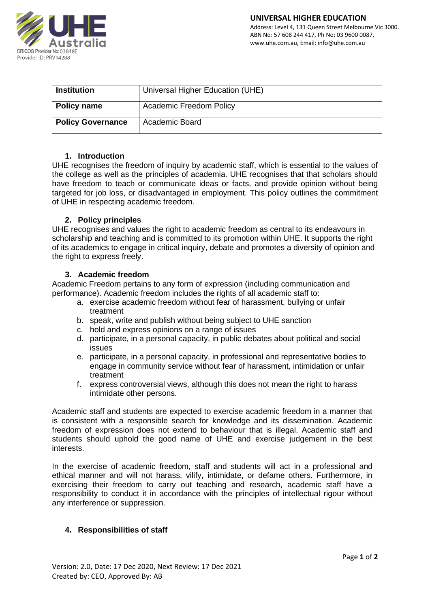

| <b>Institution</b>       | Universal Higher Education (UHE) |
|--------------------------|----------------------------------|
| Policy name              | <b>Academic Freedom Policy</b>   |
| <b>Policy Governance</b> | Academic Board                   |

# **1. Introduction**

UHE recognises the freedom of inquiry by academic staff, which is essential to the values of the college as well as the principles of academia. UHE recognises that that scholars should have freedom to teach or communicate ideas or facts, and provide opinion without being targeted for job loss, or disadvantaged in employment. This policy outlines the commitment of UHE in respecting academic freedom.

# **2. Policy principles**

UHE recognises and values the right to academic freedom as central to its endeavours in scholarship and teaching and is committed to its promotion within UHE. It supports the right of its academics to engage in critical inquiry, debate and promotes a diversity of opinion and the right to express freely.

# **3. Academic freedom**

Academic Freedom pertains to any form of expression (including communication and performance). Academic freedom includes the rights of all academic staff to:

- a. exercise academic freedom without fear of harassment, bullying or unfair treatment
- b. speak, write and publish without being subject to UHE sanction
- c. hold and express opinions on a range of issues
- d. participate, in a personal capacity, in public debates about political and social issues
- e. participate, in a personal capacity, in professional and representative bodies to engage in community service without fear of harassment, intimidation or unfair treatment
- f. express controversial views, although this does not mean the right to harass intimidate other persons.

Academic staff and students are expected to exercise academic freedom in a manner that is consistent with a responsible search for knowledge and its dissemination. Academic freedom of expression does not extend to behaviour that is illegal. Academic staff and students should uphold the good name of UHE and exercise judgement in the best interests.

In the exercise of academic freedom, staff and students will act in a professional and ethical manner and will not harass, vilify, intimidate, or defame others. Furthermore, in exercising their freedom to carry out teaching and research, academic staff have a responsibility to conduct it in accordance with the principles of intellectual rigour without any interference or suppression.

# **4. Responsibilities of staff**